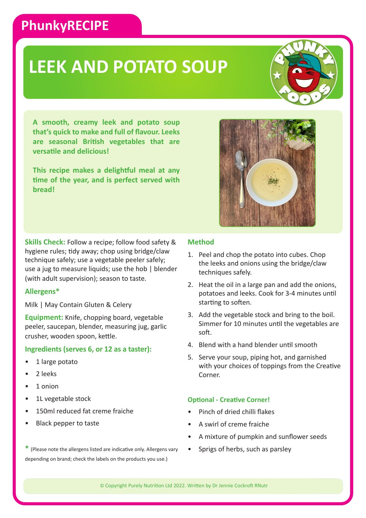### **PhunkyRECIPE**

## **LEEK AND POTATO SOUP**



**This recipe makes a delightful meal at any time of the year, and is perfect served with bread!**

**Skills Check:** Follow a recipe; follow food safety & hygiene rules; tidy away; chop using bridge/claw technique safely; use a vegetable peeler safely; use a jug to measure liquids; use the hob | blender (with adult supervision); season to taste.

#### **Allergens\***

Milk | May Contain Gluten & Celery

**Equipment:** Knife, chopping board, vegetable peeler, saucepan, blender, measuring jug, garlic crusher, wooden spoon, kettle.

#### **Ingredients (serves 6, or 12 as a taster):**

- 1 large potato
- 2 leeks
- 1 onion
- 1L vegetable stock
- 150ml reduced fat creme fraiche
- Black pepper to taste

#### **\*** (Please note the allergens listed are indicative only. Allergens vary depending on brand; check the labels on the products you use.)

#### **Method**

- 1. Peel and chop the potato into cubes. Chop the leeks and onions using the bridge/claw techniques safely.
- 2. Heat the oil in a large pan and add the onions, potatoes and leeks. Cook for 3-4 minutes until starting to soften.
- 3. Add the vegetable stock and bring to the boil. Simmer for 10 minutes until the vegetables are soft.
- 4. Blend with a hand blender until smooth
- 5. Serve your soup, piping hot, and garnished with your choices of toppings from the Creative Corner.

#### **Optional - Creative Corner!**

- Pinch of dried chilli flakes
- A swirl of creme fraiche
- A mixture of pumpkin and sunflower seeds
- Sprigs of herbs, such as parsley

© Copyright Purely Nutrition Ltd 2022. Written by Dr Jennie Cockroft RNutr